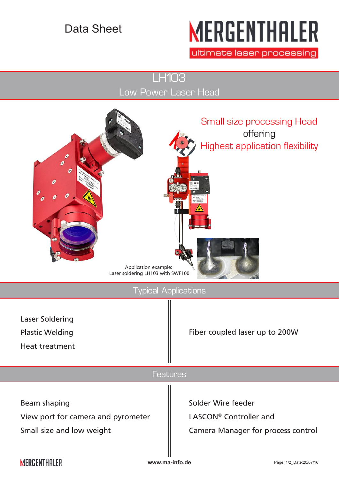## Data Sheet

# **MERGENTHALER**

ultimate laser processing

LH103 Low Power Laser Head